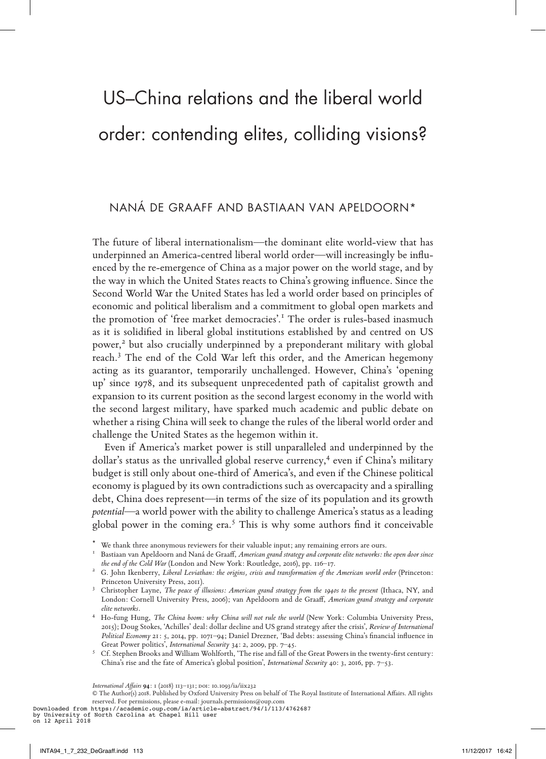# US–China relations and the liberal world order: contending elites, colliding visions?

## NANÁ DE GRAAFF AND BASTIAAN VAN APELDOORN\*

The future of liberal internationalism—the dominant elite world-view that has underpinned an America-centred liberal world order—will increasingly be influenced by the re-emergence of China as a major power on the world stage, and by the way in which the United States reacts to China's growing influence. Since the Second World War the United States has led a world order based on principles of economic and political liberalism and a commitment to global open markets and the promotion of 'free market democracies'.<sup>I</sup> The order is rules-based inasmuch as it is solidified in liberal global institutions established by and centred on US power,<sup>2</sup> but also crucially underpinned by a preponderant military with global reach.<sup>3</sup> The end of the Cold War left this order, and the American hegemony acting as its guarantor, temporarily unchallenged. However, China's 'opening up' since 1978, and its subsequent unprecedented path of capitalist growth and expansion to its current position as the second largest economy in the world with the second largest military, have sparked much academic and public debate on whether a rising China will seek to change the rules of the liberal world order and challenge the United States as the hegemon within it.

Even if America's market power is still unparalleled and underpinned by the dollar's status as the unrivalled global reserve currency,<sup>4</sup> even if China's military budget is still only about one-third of America's, and even if the Chinese political economy is plagued by its own contradictions such as overcapacity and a spiralling debt, China does represent—in terms of the size of its population and its growth *potential—*a world power with the ability to challenge America's status as a leading global power in the coming era.<sup>5</sup> This is why some authors find it conceivable

<sup>\*</sup> We thank three anonymous reviewers for their valuable input; any remaining errors are ours.<br><sup>1</sup> Bastiaan van Apeldoorn and Naná de Graaff, *American grand strategy and corporate elite networks: the open door since*<br>*the* 

<sup>&</sup>lt;sup>2</sup> G. John Ikenberry, *Liberal Leviathan: the origins, crisis and transformation of the American world order (Princeton:* 

Princeton University Press, 2011). <sup>3</sup> Christopher Layne, *The peace of illusions: American grand strategy from the 1940s to the present* (Ithaca, NY, and London: Cornell University Press, 2006); van Apeldoorn and de Graaff, *American grand strategy and corporate elite networks.* <sup>4</sup> Ho-fung Hung, *[The China boom: why China will not rule the world](http://www.amazon.com/China-Boom-Will-World-Contemporary/dp/0231164181)* (New York: Columbia University Press,

<sup>2015</sup>); Doug Stokes, 'Achilles' deal: dollar decline and US grand strategy after the crisis', *Review of International Political Economy* 21: [5](http://www.tandfonline.com/toc/rrip20/21/5), 2014, pp. 1071–94; Daniel Drezner, 'Bad debts: assessing China's financial influence in Great Power politics', *International Security* 34: 2, 2009, pp. 7–45.<br><sup>5</sup> Cf. Stephen Brooks and William Wohlforth, 'The rise and fall of the Great Powers in the twenty-first century:

China's rise and the fate of America's global position', *International Security* 40: 3, 2016, pp. 7–53.

*International A!airs* **94**: 1 (2018) 113–131; doi: 10.1093/ia/iix232

<sup>©</sup> The Author(s) 2018. Published by Oxford University Press on behalf of The Royal Institute of International A\*airs. All rights reserved. For permissions, please e-mail: journals.permissions@oup.com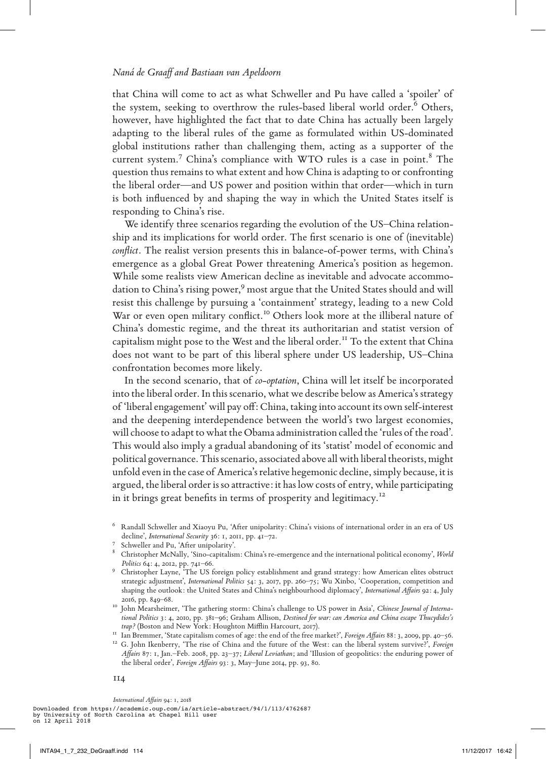that China will come to act as what Schweller and Pu have called a 'spoiler' of the system, seeking to overthrow the rules-based liberal world order.  $\overline{6}$  Others, however, have highlighted the fact that to date China has actually been largely adapting to the liberal rules of the game as formulated within US-dominated global institutions rather than challenging them, acting as a supporter of the current system.<sup>7</sup> China's compliance with WTO rules is a case in point.<sup>8</sup> The question thus remains to what extent and how China is adapting to or confronting the liberal order—and US power and position within that order—which in turn is both influenced by and shaping the way in which the United States itself is responding to China's rise.

We identify three scenarios regarding the evolution of the US–China relationship and its implications for world order. The first scenario is one of (inevitable) *conflict.* The realist version presents this in balance-of-power terms, with China's emergence as a global Great Power threatening America's position as hegemon. While some realists view American decline as inevitable and advocate accommodation to China's rising power,<sup>9</sup> most argue that the United States should and will resist this challenge by pursuing a 'containment' strategy, leading to a new Cold War or even open military conflict.<sup>10</sup> Others look more at the illiberal nature of China's domestic regime, and the threat its authoritarian and statist version of capitalism might pose to the West and the liberal order.<sup>11</sup> To the extent that China does not want to be part of this liberal sphere under US leadership, US–China confrontation becomes more likely.

In the second scenario, that of *co-optation*, China will let itself be incorporated into the liberal order. In this scenario, what we describe below as America's strategy of 'liberal engagement' will pay off: China, taking into account its own self-interest and the deepening interdependence between the world's two largest economies, will choose to adapt to what the Obama administration called the 'rules of the road'. This would also imply a gradual abandoning of its 'statist' model of economic and political governance. This scenario, associated above all with liberal theorists, might unfold even in the case of America's relative hegemonic decline, simply because, it is argued, the liberal order is so attractive: it has low costs of entry, while participating in it brings great benefits in terms of prosperity and legitimacy.<sup>12</sup>

<sup>&</sup>lt;sup>6</sup> Randall Schweller and Xiaoyu Pu, 'After unipolarity: China's visions of international order in an era of US decline', *International Security* 36: 1, 2011, pp. 41–72.

decline', *International Security* <sup>36</sup>: 1, 2011, pp. 41–72. <sup>7</sup> Schweller and Pu, 'After unipolarity'. <sup>8</sup> Christopher McNally, 'Sino-capitalism: China's re-emergence and the international political economy', *World* 

*Politics* <sup>64</sup>: 4, 2012, pp. 741–66. <sup>9</sup> Christopher Layne, 'The US foreign policy establishment and grand strategy: how American elites obstruct strategic adjustment', *International Politics* 54: 3, 2017, pp. 260–75; Wu Xinbo, 'Cooperation, competition and shaping the outlook: the United States and China's neighbourhood diplomacy', *International A!airs* 92: 4, July <sup>2016</sup>, pp. 849–68. <sup>10</sup> John Mearsheimer, 'The gathering storm: China's challenge to US power in Asia', *Chinese Journal of Interna-*

*tional Politics* 3: 4, 2010, pp. 381–96; Graham Allison, *Destined for war: can America and China escape Thucydides's* 

<sup>&</sup>lt;sup>11</sup> Ian Bremmer, 'State capitalism comes of age: the end of the free market?', *Foreign Affairs* 88: 3, 2009, pp. 40–56.<br><sup>12</sup> G. John Ikenberry, 'The rise of China and the future of the West: can the liberal system survi

*A!airs* 87: 1, Jan.–Feb. 2008, pp. 23–37; *Liberal Leviathan*; and 'Illusion of geopolitics: the enduring power of the liberal order', *Foreign A!airs* 93: 3, May–June 2014, pp. 93, 80.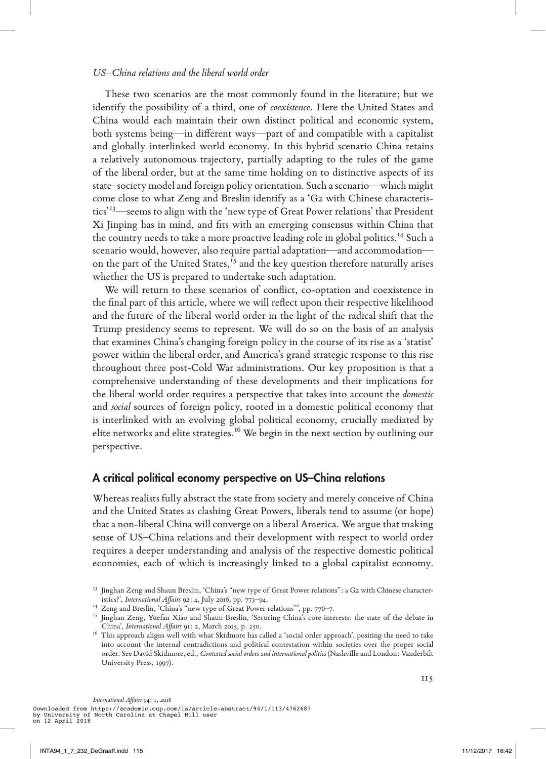#### *US–China relations and the liberal world order*

These two scenarios are the most commonly found in the literature; but we identify the possibility of a third, one of *coexistence.* Here the United States and China would each maintain their own distinct political and economic system, both systems being—in different ways—part of and compatible with a capitalist and globally interlinked world economy. In this hybrid scenario China retains a relatively autonomous trajectory, partially adapting to the rules of the game of the liberal order, but at the same time holding on to distinctive aspects of its state–society model and foreign policy orientation. Such a scenario—which might come close to what Zeng and Breslin identify as a 'G2 with Chinese characteristics'13—seems to align with the 'new type of Great Power relations' that President Xi Jinping has in mind, and fits with an emerging consensus within China that the country needs to take a more proactive leading role in global politics.14 Such a scenario would, however, also require partial adaptation—and accommodation on the part of the United States,<sup>15</sup> and the key question therefore naturally arises whether the US is prepared to undertake such adaptation.

We will return to these scenarios of conflict, co-optation and coexistence in the final part of this article, where we will reflect upon their respective likelihood and the future of the liberal world order in the light of the radical shift that the Trump presidency seems to represent. We will do so on the basis of an analysis that examines China's changing foreign policy in the course of its rise as a 'statist' power within the liberal order, and America's grand strategic response to this rise throughout three post-Cold War administrations. Our key proposition is that a comprehensive understanding of these developments and their implications for the liberal world order requires a perspective that takes into account the *domestic* and *social* sources of foreign policy, rooted in a domestic political economy that is interlinked with an evolving global political economy, crucially mediated by elite networks and elite strategies.<sup>16</sup> We begin in the next section by outlining our perspective.

### A critical political economy perspective on US–China relations

Whereas realists fully abstract the state from society and merely conceive of China and the United States as clashing Great Powers, liberals tend to assume (or hope) that a non-liberal China will converge on a liberal America. We argue that making sense of US–China relations and their development with respect to world order requires a deeper understanding and analysis of the respective domestic political economies, each of which is increasingly linked to a global capitalist economy.

<sup>&</sup>lt;sup>13</sup> Jinghan Zeng and Shaun Breslin, 'China's "new type of Great Power relations": a G2 with Chinese character-

istics?', *International Affairs* 92: 4, July 2016, pp. 773–94.<br><sup>14</sup> Zeng and Breslin, 'China's "new type of Great Power relations"', pp. 776–7.<br><sup>15</sup> Jinghan Zeng, Yuefan Xiao and Shaun Breslin, 'Securing China's core int China', *International A!airs* <sup>91</sup>: 2, March 2015, p. 250. <sup>16</sup> This approach aligns well with what Skidmore has called a 'social order approach', positing the need to take

into account the internal contradictions and political contestation within societies over the proper social order. See David Skidmore, ed., *Contested social orders and international politics* (Nashville and London: Vanderbilt University Press, 1997).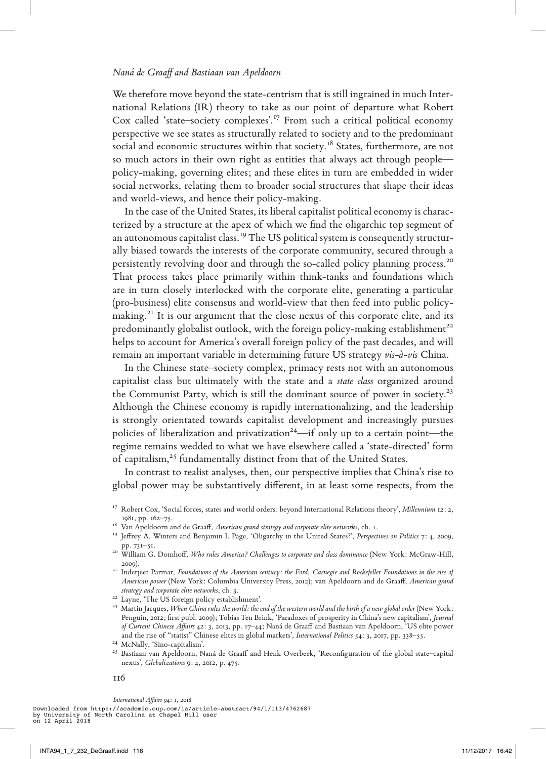We therefore move beyond the state-centrism that is still ingrained in much International Relations (IR) theory to take as our point of departure what Robert Cox called 'state–society complexes'.17 From such a critical political economy perspective we see states as structurally related to society and to the predominant social and economic structures within that society.<sup>18</sup> States, furthermore, are not so much actors in their own right as entities that always act through people policy-making, governing elites; and these elites in turn are embedded in wider social networks, relating them to broader social structures that shape their ideas and world-views, and hence their policy-making.

In the case of the United States, its liberal capitalist political economy is characterized by a structure at the apex of which we find the oligarchic top segment of an autonomous capitalist class.<sup>19</sup> The US political system is consequently structurally biased towards the interests of the corporate community, secured through a persistently revolving door and through the so-called policy planning process.<sup>20</sup> That process takes place primarily within think-tanks and foundations which are in turn closely interlocked with the corporate elite, generating a particular (pro-business) elite consensus and world-view that then feed into public policymaking.<sup>21</sup> It is our argument that the close nexus of this corporate elite, and its predominantly globalist outlook, with the foreign policy-making establishment<sup>22</sup> helps to account for America's overall foreign policy of the past decades, and will remain an important variable in determining future US strategy *vis-à-vis* China.

In the Chinese state–society complex, primacy rests not with an autonomous capitalist class but ultimately with the state and a *state class* organized around the Communist Party, which is still the dominant source of power in society.<sup>23</sup> Although the Chinese economy is rapidly internationalizing, and the leadership is strongly orientated towards capitalist development and increasingly pursues policies of liberalization and privatization<sup>24</sup>—if only up to a certain point—the regime remains wedded to what we have elsewhere called a 'state-directed' form of capitalism,<sup>25</sup> fundamentally distinct from that of the United States.

In contrast to realist analyses, then, our perspective implies that China's rise to global power may be substantively different, in at least some respects, from the

<sup>17</sup> Robert Cox, 'Social forces, states and world orders: beyond International Relations theory', *Millennium* 12: 2, 1981, pp. 162–75.<br><sup>18</sup> Van Apeldoorn and de Graaff, *American grand strategy and corporate elite networks*, ch. 1.<br><sup>19</sup> Jeffrey A. Winters and Benjamin I. Page, 'Oligarchy in the United States?', *Perspectives on Politics* 

pp. 731–51. <sup>20</sup> William G. Domho\*, *Who rules America? Challenges to corporate and class dominance* (New York: McGraw-Hill,

<sup>2009</sup>). <sup>21</sup> Inderjeet Parmar, *Foundations of the American century*: *the Ford, Carnegie and Rockefeller Foundations in the rise of American power (New York: Columbia University Press, 2012); van Apeldoorn and de Graaff, American grand* strategy and corporate elite networks, ch. 3.<br><sup>22</sup> Layne, 'The US foreign policy establishment'.<br><sup>23</sup> Martin Jacques, *When China rules the world: the end of the western world and the birth of a new global order (New York* 

Penguin, 2012; first publ. 2009); Tobias Ten Brink, 'Paradoxes of prosperity in China's new capitalism', *Journal of Current Chinese A!airs* 42: 3, 2013, pp. 17–44; Naná de Graa\* and Bastiaan van Apeldoorn, 'US elite power and the rise of "statist" Chinese elites in global markets', *International Politics* 54: 3, 2017, pp. 338–55.<br><sup>24</sup> McNally, 'Sino-capitalism'.<br><sup>25</sup> Bastiaan van Apeldoorn, Naná de Graaff and Henk Overbeek, 'Reconfiguratio

nexus', *Globalizations* 9: 4, 2012, p. 475.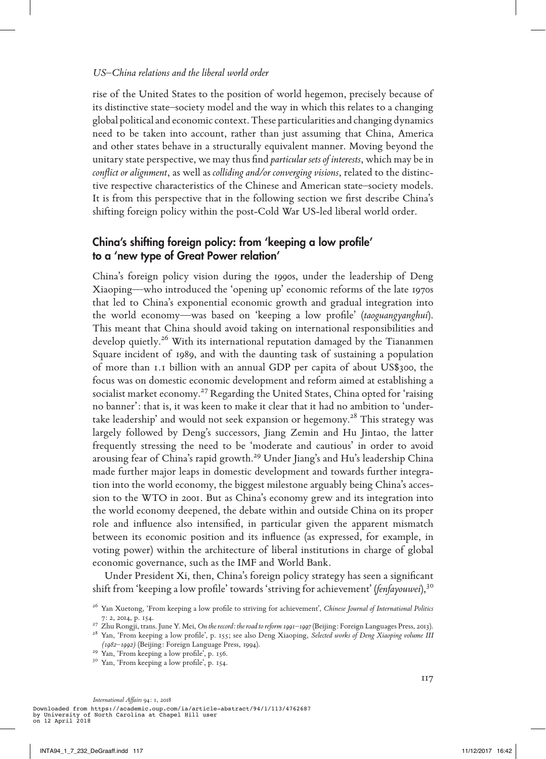#### *US–China relations and the liberal world order*

rise of the United States to the position of world hegemon, precisely because of its distinctive state–society model and the way in which this relates to a changing global political and economic context. These particularities and changing dynamics need to be taken into account, rather than just assuming that China, America and other states behave in a structurally equivalent manner. Moving beyond the unitary state perspective, we may thus find *particular sets of interests*, which may be in *conflict or alignment*, as well as *colliding and/or converging visions*, related to the distinctive respective characteristics of the Chinese and American state–society models. It is from this perspective that in the following section we first describe China's shifting foreign policy within the post-Cold War US-led liberal world order.

## China's shifting foreign policy: from 'keeping a low profile' to a 'new type of Great Power relation'

China's foreign policy vision during the 1990s, under the leadership of Deng Xiaoping—who introduced the 'opening up' economic reforms of the late 1970s that led to China's exponential economic growth and gradual integration into the world economy—was based on 'keeping a low profile' (*taoguangyanghui*). This meant that China should avoid taking on international responsibilities and develop quietly.<sup>26</sup> With its international reputation damaged by the Tiananmen Square incident of 1989, and with the daunting task of sustaining a population of more than 1.1 billion with an annual GDP per capita of about US\$300, the focus was on domestic economic development and reform aimed at establishing a socialist market economy.<sup>27</sup> Regarding the United States, China opted for 'raising no banner': that is, it was keen to make it clear that it had no ambition to 'undertake leadership' and would not seek expansion or hegemony.<sup>28</sup> This strategy was largely followed by Deng's successors, Jiang Zemin and Hu Jintao, the latter frequently stressing the need to be 'moderate and cautious' in order to avoid arousing fear of China's rapid growth.<sup>29</sup> Under Jiang's and Hu's leadership China made further major leaps in domestic development and towards further integration into the world economy, the biggest milestone arguably being China's accession to the WTO in 2001. But as China's economy grew and its integration into the world economy deepened, the debate within and outside China on its proper role and influence also intensified, in particular given the apparent mismatch between its economic position and its influence (as expressed, for example, in voting power) within the architecture of liberal institutions in charge of global economic governance, such as the IMF and World Bank.

Under President Xi, then, China's foreign policy strategy has seen a significant shift from 'keeping a low profile' towards 'striving for achievement' (fenfayouwei),<sup>30</sup>

<sup>26</sup> Yan Xuetong, 'From keeping a low profile to striving for achievement', *Chinese Journal of International Politics* 

<sup>7: 2, 2014,</sup> p. 154.<br><sup>27</sup> Zhu Rongji, trans. June Y. Mei, *On the record: the road to reform 1991–1997* (Beijing: Foreign Languages Press, 2013).<br><sup>28</sup> Yan, 'From keeping a low profile', p. 155; see also Deng Xiaoping, *Sel* 

*<sup>(</sup>1982–1992)* (Beijing: Foreign Language Press, 1994). <sup>29</sup> Yan, 'From keeping a low profile', p. 156. <sup>30</sup> Yan, 'From keeping a low profile', p. 154.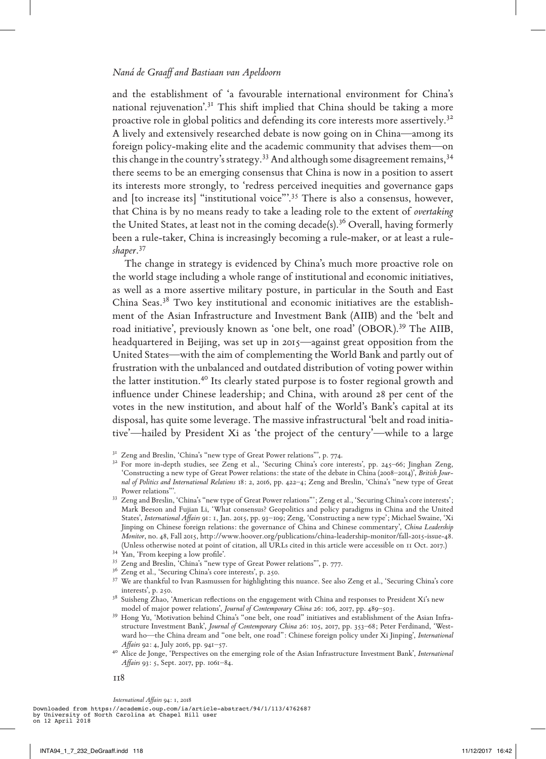and the establishment of 'a favourable international environment for China's national rejuvenation'.31 This shift implied that China should be taking a more proactive role in global politics and defending its core interests more assertively.<sup>32</sup> A lively and extensively researched debate is now going on in China—among its foreign policy-making elite and the academic community that advises them—on this change in the country's strategy.<sup>33</sup> And although some disagreement remains,<sup>34</sup> there seems to be an emerging consensus that China is now in a position to assert its interests more strongly, to 'redress perceived inequities and governance gaps and [to increase its] "institutional voice"'.35 There is also a consensus, however, that China is by no means ready to take a leading role to the extent of *overtaking* the United States, at least not in the coming decade(s).<sup>36</sup> Overall, having formerly been a rule-taker, China is increasingly becoming a rule-maker, or at least a rule*shaper*. 37

The change in strategy is evidenced by China's much more proactive role on the world stage including a whole range of institutional and economic initiatives, as well as a more assertive military posture, in particular in the South and East China Seas.38 Two key institutional and economic initiatives are the establishment of the Asian Infrastructure and Investment Bank (AIIB) and the 'belt and road initiative', previously known as 'one belt, one road' (OBOR).<sup>39</sup> The AIIB, headquartered in Beijing, was set up in 2015—against great opposition from the United States—with the aim of complementing the World Bank and partly out of frustration with the unbalanced and outdated distribution of voting power within the latter institution.40 Its clearly stated purpose is to foster regional growth and influence under Chinese leadership; and China, with around 28 per cent of the votes in the new institution, and about half of the World's Bank's capital at its disposal, has quite some leverage. The massive infrastructural 'belt and road initiative'—hailed by President Xi as 'the project of the century'—while to a large

*A!airs* 93: 5, Sept. 2017, pp. 1061–84.

<sup>&</sup>lt;sup>31</sup> Zeng and Breslin, 'China's "new type of Great Power relations"', p. 774.<br><sup>32</sup> For more in-depth studies, see Zeng et al., 'Securing China's core interests', pp. 245–66; Jinghan Zeng, 'Constructing a new type of Great Power relations: the state of the debate in China (2008–2014)', *British Journal of Politics and International Relations* 18: 2, 2016, pp. 422–4; Zeng and Breslin, 'China's "new type of Great Power relations"'. <sup>33</sup> Zeng and Breslin, 'China's "new type of Great Power relations"'; Zeng et al., 'Securing China's core interests';

Mark Beeson and Fujian Li, 'What consensus? Geopolitics and policy paradigms in China and the United States', *International A!airs* 91: 1, Jan. 2015, pp. 93–109; Zeng, 'Constructing a new type'; Michael Swaine, 'Xi Jinping on Chinese foreign relations: the governance of China and Chinese commentary', *China Leadership Monitor*, no. 48, Fall 2015, [http://www.hoover.org/publications/china-leadership-monitor/fall-](http://www.hoover.org/publications/china-leadership-monitor/fall-2015-issue-48)2015-issue-48.

<sup>(</sup>Unless otherwise noted at point of citation, all URLs cited in this article were accessible on 11 Oct. 2017.)<br><sup>34</sup> Yan, 'From keeping a low profile'.<br><sup>35</sup> Zeng and Breslin, 'China's "new type of Great Power relations"', p

interests', p. 250. 38 Suisheng Zhao, 'American reflections on the engagement with China and responses to President Xi's new

model of major power relations', *Journal of Contemporary China* 26: 106, 2017, pp. 489–503.<br><sup>39</sup> Hong Yu, 'Motivation behind China's "one belt, one road" initiatives and establishment of the Asian Infrastructure Investment Bank', *Journal of Contemporary China* 26: 105, 2017, pp. 353–68; Peter Ferdinand, 'Westward ho—the China dream and "one belt, one road": Chinese foreign policy under Xi Jinping', *International <sup>A</sup>!airs* <sup>92</sup>: 4, July 2016, pp. 941–57. <sup>40</sup> Alice de Jonge, 'Perspectives on the emerging role of the Asian Infrastructure Investment Bank', *International*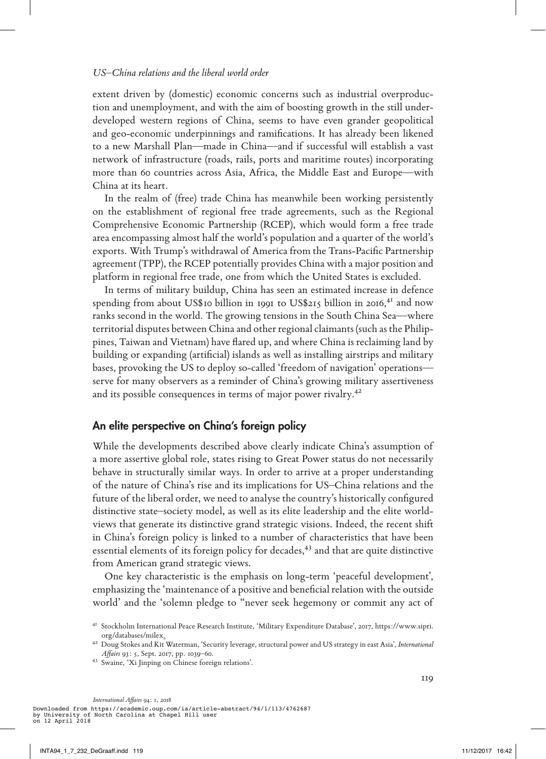extent driven by (domestic) economic concerns such as industrial overproduction and unemployment, and with the aim of boosting growth in the still underdeveloped western regions of China, seems to have even grander geopolitical and geo-economic underpinnings and ramifications. It has already been likened to a new Marshall Plan—made in China—and if successful will establish a vast network of infrastructure (roads, rails, ports and maritime routes) incorporating more than 60 countries across Asia, Africa, the Middle East and Europe—with China at its heart.

In the realm of (free) trade China has meanwhile been working persistently on the establishment of regional free trade agreements, such as the Regional Comprehensive Economic Partnership (RCEP), which would form a free trade area encompassing almost half the world's population and a quarter of the world's exports. With Trump's withdrawal of America from the Trans-Pacific Partnership agreement (TPP), the RCEP potentially provides China with a major position and platform in regional free trade, one from which the United States is excluded.

In terms of military buildup, China has seen an estimated increase in defence spending from about US\$10 billion in 1991 to US\$215 billion in 2016, <sup>41</sup> and now ranks second in the world. The growing tensions in the South China Sea—where territorial disputes between China and other regional claimants (such as the Philippines, Taiwan and Vietnam) have flared up, and where China is reclaiming land by building or expanding (artificial) islands as well as installing airstrips and military bases, provoking the US to deploy so-called 'freedom of navigation' operations serve for many observers as a reminder of China's growing military assertiveness and its possible consequences in terms of major power rivalry.<sup>42</sup>

## An elite perspective on China's foreign policy

While the developments described above clearly indicate China's assumption of a more assertive global role, states rising to Great Power status do not necessarily behave in structurally similar ways. In order to arrive at a proper understanding of the nature of China's rise and its implications for US–China relations and the future of the liberal order, we need to analyse the country's historically configured distinctive state–society model, as well as its elite leadership and the elite worldviews that generate its distinctive grand strategic visions. Indeed, the recent shift in China's foreign policy is linked to a number of characteristics that have been essential elements of its foreign policy for decades,<sup>43</sup> and that are quite distinctive from American grand strategic views.

One key characteristic is the emphasis on long-term 'peaceful development', emphasizing the 'maintenance of a positive and beneficial relation with the outside world' and the 'solemn pledge to "never seek hegemony or commit any act of

<sup>41</sup> Stockholm International Peace Research Institute, 'Military Expenditure Database', 2017, [https://www.sipri.](https://www.sipri.org/databases/milex) [org/databases/milex.](https://www.sipri.org/databases/milex) <sup>42</sup> Doug Stokes and Kit Waterman, 'Security leverage, structural power and US strategy in east Asia', *International* 

*<sup>A</sup>!airs* <sup>93</sup>: 5, Sept. 2017, pp. 1039–60. <sup>43</sup> Swaine, 'Xi Jinping on Chinese foreign relations'.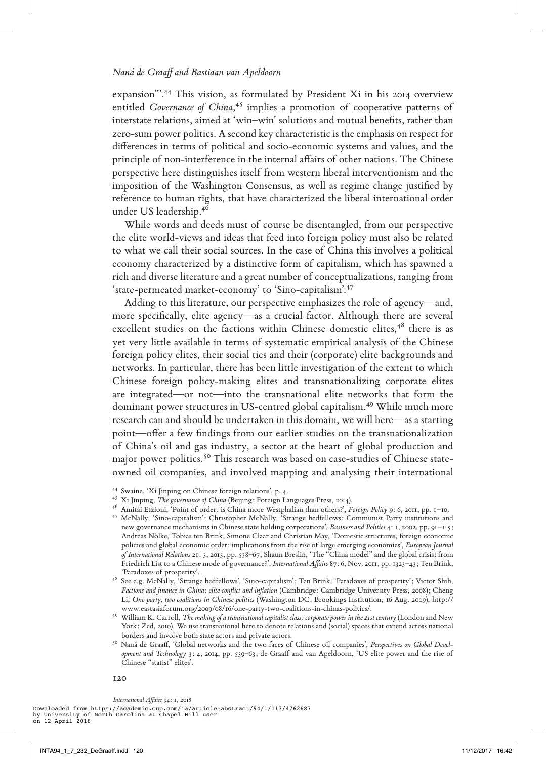expansion"'.44 This vision, as formulated by President Xi in his 2014 overview entitled *Governance of China*, <sup>45</sup> implies a promotion of cooperative patterns of interstate relations, aimed at 'win–win' solutions and mutual benefits, rather than zero-sum power politics. A second key characteristic is the emphasis on respect for differences in terms of political and socio-economic systems and values, and the principle of non-interference in the internal affairs of other nations. The Chinese perspective here distinguishes itself from western liberal interventionism and the imposition of the Washington Consensus, as well as regime change justified by reference to human rights, that have characterized the liberal international order under US leadership.<sup>46</sup>

While words and deeds must of course be disentangled, from our perspective the elite world-views and ideas that feed into foreign policy must also be related to what we call their social sources. In the case of China this involves a political economy characterized by a distinctive form of capitalism, which has spawned a rich and diverse literature and a great number of conceptualizations, ranging from 'state-permeated market-economy' to 'Sino-capitalism'.<sup>47</sup>

Adding to this literature, our perspective emphasizes the role of agency—and, more specifically, elite agency—as a crucial factor. Although there are several excellent studies on the factions within Chinese domestic elites,<sup>48</sup> there is as yet very little available in terms of systematic empirical analysis of the Chinese foreign policy elites, their social ties and their (corporate) elite backgrounds and networks. In particular, there has been little investigation of the extent to which Chinese foreign policy-making elites and transnationalizing corporate elites are integrated—or not—into the transnational elite networks that form the dominant power structures in US-centred global capitalism.<sup>49</sup> While much more research can and should be undertaken in this domain, we will here—as a starting point—offer a few findings from our earlier studies on the transnationalization of China's oil and gas industry, a sector at the heart of global production and major power politics.<sup>50</sup> This research was based on case-studies of Chinese stateowned oil companies, and involved mapping and analysing their international

<sup>&</sup>lt;sup>44</sup> Swaine, 'Xi Jinping on Chinese foreign relations', p. 4.<br><sup>45</sup> Xi Jinping, *The governance of China* (Beijing: Foreign Languages Press, 2014).<br><sup>46</sup> Amitai Etzioni, 'Point of order: is China more Westphalian than others

new governance mechanisms in Chinese state holding corporations', *Business and Politics* 4: 1, 2002, pp. 91–115; Andreas Nölke, Tobias ten Brink, Simone Claar and Christian May, 'Domestic structures, foreign economic policies and global economic order: implications from the rise of large emerging economies', *European Journal of International Relations* 21: 3, 2015, pp. 538–67; Shaun Breslin, 'The "China model" and the global crisis: from Friedrich List to a Chinese mode of governance?', *International A!airs* 87: 6, Nov. 2011, pp. 1323–43; Ten Brink, 'Paradoxes of prosperity'. <sup>48</sup> See e.g. McNally, 'Strange bedfellows', 'Sino-capitalism'; Ten Brink, 'Paradoxes of prosperity'; Victor Shih,

*Factions and finance in China: elite conflict and inflation* (Cambridge: Cambridge University Press, 2008); Cheng Li, *One party, two coalitions in Chinese politics* (Washington DC: Brookings Institution, 16 Aug. 2009), http://

www.eastasiaforum.org/2009/08/16/one-party-two-coalitions-in-chinas-politics/. <sup>49</sup> William K. Carroll, *The making of a transnational capitalist class: corporate power in the 21st century* (London and New York: Zed, 2010). We use transnational here to denote relations and (social) spaces that extend across national borders and involve both state actors and private actors. <sup>50</sup> Naná de Graa\*, 'Global networks and the two faces of Chinese oil companies', *Perspectives on Global Devel-*

*opment and Technology* 3: 4, 2014, pp. 539–63; de Graaff and van Apeldoorn, 'US elite power and the rise of Chinese "statist" elites'.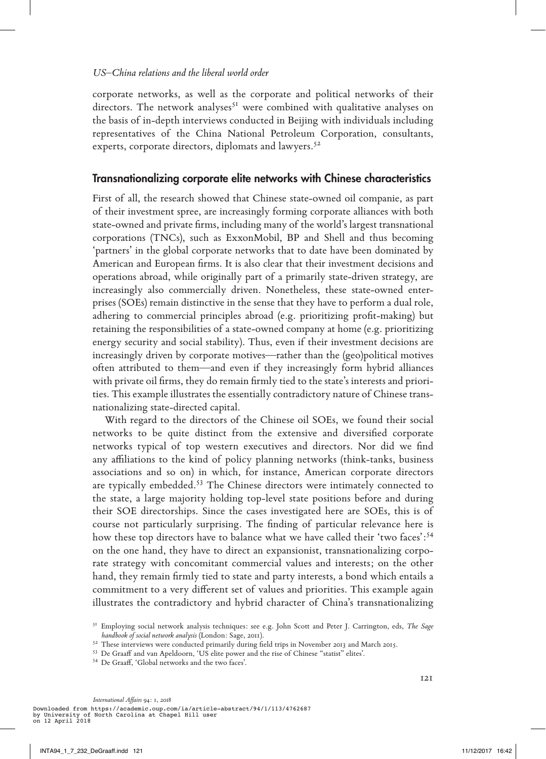corporate networks, as well as the corporate and political networks of their directors. The network analyses<sup>51</sup> were combined with qualitative analyses on the basis of in-depth interviews conducted in Beijing with individuals including representatives of the China National Petroleum Corporation, consultants, experts, corporate directors, diplomats and lawyers.<sup>52</sup>

### Transnationalizing corporate elite networks with Chinese characteristics

First of all, the research showed that Chinese state-owned oil companie, as part of their investment spree, are increasingly forming corporate alliances with both state-owned and private firms, including many of the world's largest transnational corporations (TNCs), such as ExxonMobil, BP and Shell and thus becoming 'partners' in the global corporate networks that to date have been dominated by American and European firms. It is also clear that their investment decisions and operations abroad, while originally part of a primarily state-driven strategy, are increasingly also commercially driven. Nonetheless, these state-owned enterprises (SOEs) remain distinctive in the sense that they have to perform a dual role, adhering to commercial principles abroad (e.g. prioritizing profit-making) but retaining the responsibilities of a state-owned company at home (e.g. prioritizing energy security and social stability). Thus, even if their investment decisions are increasingly driven by corporate motives—rather than the (geo)political motives often attributed to them—and even if they increasingly form hybrid alliances with private oil firms, they do remain firmly tied to the state's interests and priorities. This example illustrates the essentially contradictory nature of Chinese transnationalizing state-directed capital.

With regard to the directors of the Chinese oil SOEs, we found their social networks to be quite distinct from the extensive and diversified corporate networks typical of top western executives and directors. Nor did we find any affiliations to the kind of policy planning networks (think-tanks, business associations and so on) in which, for instance, American corporate directors are typically embedded.<sup>53</sup> The Chinese directors were intimately connected to the state, a large majority holding top-level state positions before and during their SOE directorships. Since the cases investigated here are SOEs, this is of course not particularly surprising. The finding of particular relevance here is how these top directors have to balance what we have called their 'two faces':<sup>54</sup> on the one hand, they have to direct an expansionist, transnationalizing corporate strategy with concomitant commercial values and interests; on the other hand, they remain firmly tied to state and party interests, a bond which entails a commitment to a very different set of values and priorities. This example again illustrates the contradictory and hybrid character of China's transnationalizing

<sup>51</sup> Employing social network analysis techniques: see e.g. John Scott and Peter J. Carrington, eds, *The Sage*  handbook of social network analysis (London: Sage, 2011).<br>
<sup>52</sup> These interviews were conducted primarily during field trips in November 2013 and March 2015.<br>
<sup>53</sup> De Graaff and van Apeldoorn, 'US elite power and the rise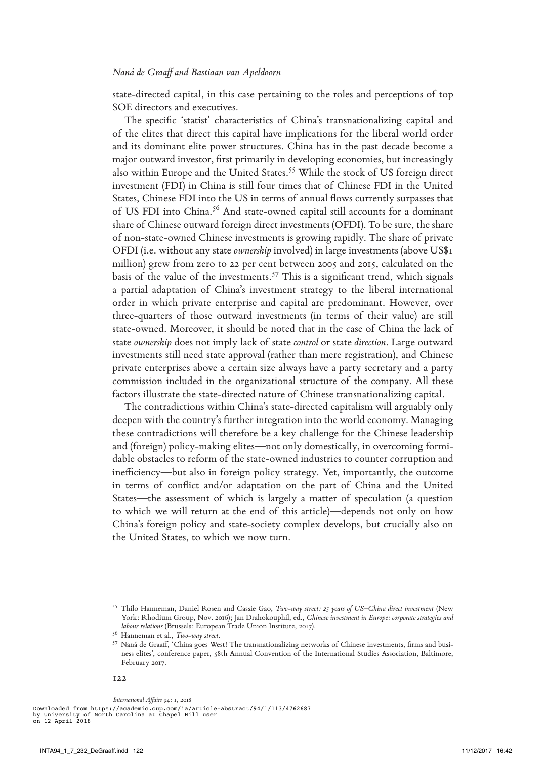state-directed capital, in this case pertaining to the roles and perceptions of top SOE directors and executives.

The specific 'statist' characteristics of China's transnationalizing capital and of the elites that direct this capital have implications for the liberal world order and its dominant elite power structures. China has in the past decade become a major outward investor, first primarily in developing economies, but increasingly also within Europe and the United States.<sup>55</sup> While the stock of US foreign direct investment (FDI) in China is still four times that of Chinese FDI in the United States, Chinese FDI into the US in terms of annual flows currently surpasses that of US FDI into China.<sup>56</sup> And state-owned capital still accounts for a dominant share of Chinese outward foreign direct investments (OFDI). To be sure, the share of non-state-owned Chinese investments is growing rapidly. The share of private OFDI (i.e. without any state *ownership* involved) in large investments (above US\$1 million) grew from zero to 22 per cent between 2005 and 2015, calculated on the basis of the value of the investments.57 This is a significant trend, which signals a partial adaptation of China's investment strategy to the liberal international order in which private enterprise and capital are predominant. However, over three-quarters of those outward investments (in terms of their value) are still state-owned. Moreover, it should be noted that in the case of China the lack of state *ownership* does not imply lack of state *control* or state *direction*. Large outward investments still need state approval (rather than mere registration), and Chinese private enterprises above a certain size always have a party secretary and a party commission included in the organizational structure of the company. All these factors illustrate the state-directed nature of Chinese transnationalizing capital.

The contradictions within China's state-directed capitalism will arguably only deepen with the country's further integration into the world economy. Managing these contradictions will therefore be a key challenge for the Chinese leadership and (foreign) policy-making elites—not only domestically, in overcoming formidable obstacles to reform of the state-owned industries to counter corruption and inefficiency—but also in foreign policy strategy. Yet, importantly, the outcome in terms of conflict and/or adaptation on the part of China and the United States—the assessment of which is largely a matter of speculation (a question to which we will return at the end of this article)—depends not only on how China's foreign policy and state-society complex develops, but crucially also on the United States, to which we now turn.

<sup>55</sup> Thilo Hanneman, Daniel Rosen and Cassie Gao, *Two-way street: 25 years of US–China direct investment* (New York: Rhodium Group, Nov. 2016); Jan Drahokouphil, ed., *Chinese investment in Europe: corporate strategies and* 

<sup>&</sup>lt;sup>56</sup> Hanneman et al., *Two-way street.*<br><sup>57</sup> Naná de Graaff, 'China goes West! The transnationalizing networks of Chinese investments, firms and business elites', conference paper, 58th Annual Convention of the International Studies Association, Baltimore, February 2017.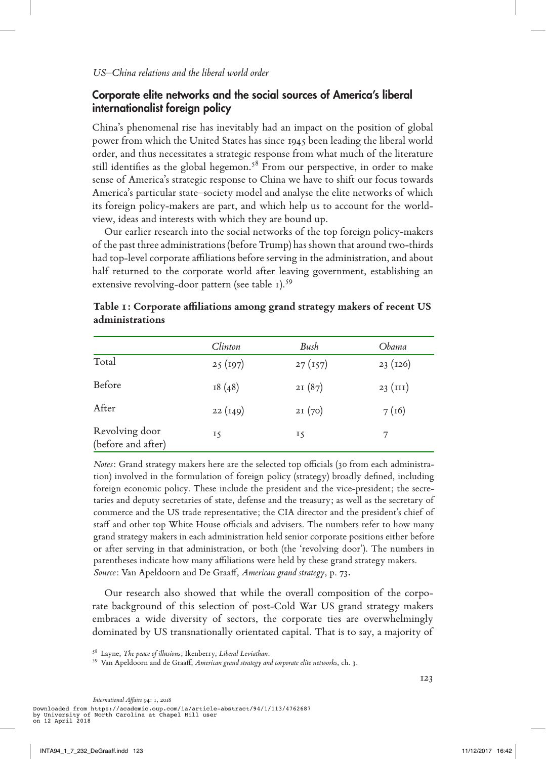## Corporate elite networks and the social sources of America's liberal internationalist foreign policy

China's phenomenal rise has inevitably had an impact on the position of global power from which the United States has since 1945 been leading the liberal world order, and thus necessitates a strategic response from what much of the literature still identifies as the global hegemon.<sup>58</sup> From our perspective, in order to make sense of America's strategic response to China we have to shift our focus towards America's particular state–society model and analyse the elite networks of which its foreign policy-makers are part, and which help us to account for the worldview, ideas and interests with which they are bound up.

Our earlier research into the social networks of the top foreign policy-makers of the past three administrations (before Trump) has shown that around two-thirds had top-level corporate affiliations before serving in the administration, and about half returned to the corporate world after leaving government, establishing an extensive revolving-door pattern (see table 1).<sup>59</sup>

|                                      | Clinton | Bush    | Obama    |
|--------------------------------------|---------|---------|----------|
| Total                                | 25(197) | 27(157) | 23(126)  |
| Before                               | 18(48)  | 2I(87)  | 23 (III) |
| After                                | 22(149) | 2I(70)  | 7(16)    |
| Revolving door<br>(before and after) | 15      | 15      | 7        |

| Table 1: Corporate affiliations among grand strategy makers of recent US |  |
|--------------------------------------------------------------------------|--|
| administrations                                                          |  |

*Notes*: Grand strategy makers here are the selected top officials (30 from each administration) involved in the formulation of foreign policy (strategy) broadly defined, including foreign economic policy. These include the president and the vice-president; the secretaries and deputy secretaries of state, defense and the treasury; as well as the secretary of commerce and the US trade representative; the CIA director and the president's chief of staff and other top White House officials and advisers. The numbers refer to how many grand strategy makers in each administration held senior corporate positions either before or after serving in that administration, or both (the 'revolving door'). The numbers in parentheses indicate how many affiliations were held by these grand strategy makers. *Source*: Van Apeldoorn and De Graa\*, *American grand strategy*, p. 73**.**

Our research also showed that while the overall composition of the corporate background of this selection of post-Cold War US grand strategy makers embraces a wide diversity of sectors, the corporate ties are overwhelmingly dominated by US transnationally orientated capital. That is to say, a majority of

<sup>58</sup> Layne, *The peace of illusions*; Ikenberry, *Liberal Leviathan.*<br><sup>59</sup> Van Apeldoorn and de Graaff, *American grand strategy and corporate elite networks*, ch. 3.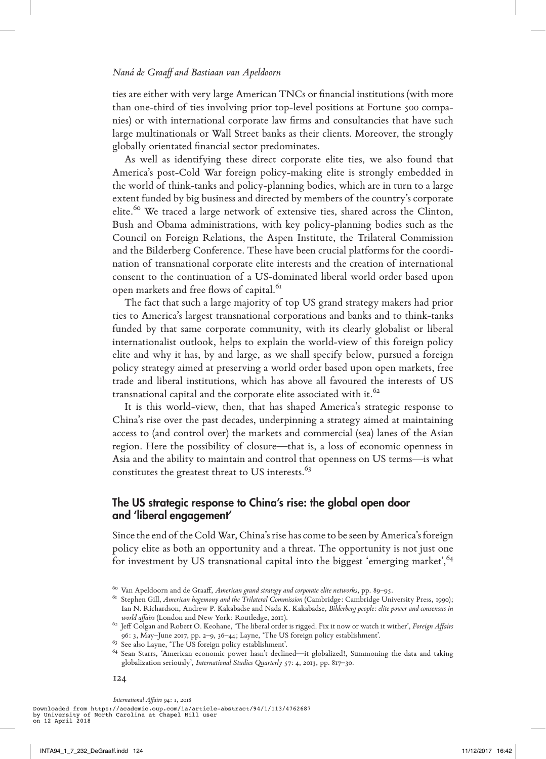#### *Naná de Graa! and Bastiaan van Apeldoorn*

ties are either with very large American TNCs or financial institutions (with more than one-third of ties involving prior top-level positions at Fortune 500 companies) or with international corporate law firms and consultancies that have such large multinationals or Wall Street banks as their clients. Moreover, the strongly globally orientated financial sector predominates.

As well as identifying these direct corporate elite ties, we also found that America's post-Cold War foreign policy-making elite is strongly embedded in the world of think-tanks and policy-planning bodies, which are in turn to a large extent funded by big business and directed by members of the country's corporate elite.<sup>60</sup> We traced a large network of extensive ties, shared across the Clinton, Bush and Obama administrations, with key policy-planning bodies such as the Council on Foreign Relations, the Aspen Institute, the Trilateral Commission and the Bilderberg Conference. These have been crucial platforms for the coordination of transnational corporate elite interests and the creation of international consent to the continuation of a US-dominated liberal world order based upon open markets and free flows of capital.<sup>61</sup>

The fact that such a large majority of top US grand strategy makers had prior ties to America's largest transnational corporations and banks and to think-tanks funded by that same corporate community, with its clearly globalist or liberal internationalist outlook, helps to explain the world-view of this foreign policy elite and why it has, by and large, as we shall specify below, pursued a foreign policy strategy aimed at preserving a world order based upon open markets, free trade and liberal institutions, which has above all favoured the interests of US transnational capital and the corporate elite associated with it.<sup>62</sup>

It is this world-view, then, that has shaped America's strategic response to China's rise over the past decades, underpinning a strategy aimed at maintaining access to (and control over) the markets and commercial (sea) lanes of the Asian region. Here the possibility of closure—that is, a loss of economic openness in Asia and the ability to maintain and control that openness on US terms—is what constitutes the greatest threat to US interests.<sup>63</sup>

## The US strategic response to China's rise: the global open door and 'liberal engagement'

Since the end of the Cold War, China's rise has come to be seen by America's foreign policy elite as both an opportunity and a threat. The opportunity is not just one for investment by US transnational capital into the biggest 'emerging market',  $64$ 

#### 124

<sup>&</sup>lt;sup>60</sup> Van Apeldoorn and de Graaff, *American grand strategy and corporate elite networks*, pp. 89–95.<br><sup>61</sup> Stephen Gill, *American hegemony and the Trilateral Commission* (Cambridge: Cambridge University Press, 1990); Ian N. Richardson, Andrew P. Kakabadse and Nada K. Kakabadse, *Bilderberg people: elite power and consensus in* 

*world a!airs* (London and New York: Routledge, 2011). <sup>62</sup> Je\* Colgan and Robert O. Keohane, 'The liberal order is rigged. Fix it now or watch it wither', *Foreign A!airs* 96: 3, May–June 2017, pp. 2–9, 36–44; Layne, 'The US foreign policy establishment'.<br><sup>63</sup> See also Layne, 'The US foreign policy establishment'.<br><sup>64</sup> Sean Starrs, 'American economic power hasn't declined—it globalized!, Su

globalization seriously', *International Studies Quarterly* 57: 4, 2013, pp. 817–30.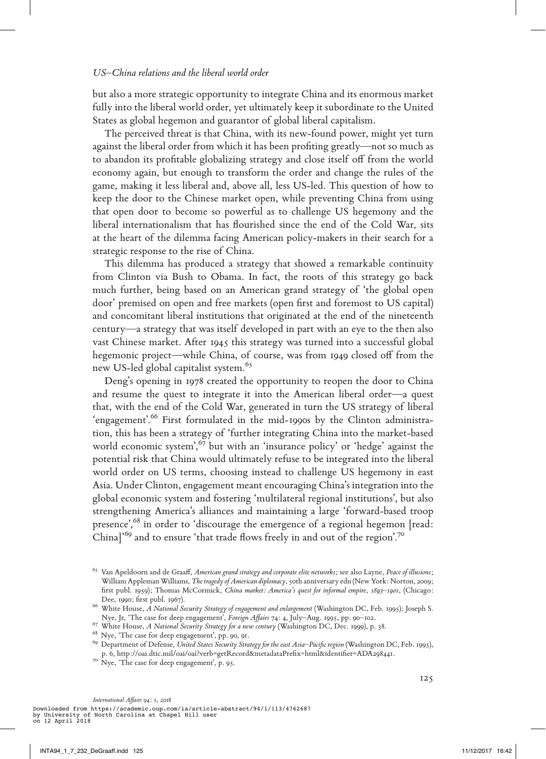but also a more strategic opportunity to integrate China and its enormous market fully into the liberal world order, yet ultimately keep it subordinate to the United States as global hegemon and guarantor of global liberal capitalism.

The perceived threat is that China, with its new-found power, might yet turn against the liberal order from which it has been profiting greatly—not so much as to abandon its profitable globalizing strategy and close itself off from the world economy again, but enough to transform the order and change the rules of the game, making it less liberal and, above all, less US-led. This question of how to keep the door to the Chinese market open, while preventing China from using that open door to become so powerful as to challenge US hegemony and the liberal internationalism that has flourished since the end of the Cold War, sits at the heart of the dilemma facing American policy-makers in their search for a strategic response to the rise of China.

This dilemma has produced a strategy that showed a remarkable continuity from Clinton via Bush to Obama. In fact, the roots of this strategy go back much further, being based on an American grand strategy of 'the global open door' premised on open and free markets (open first and foremost to US capital) and concomitant liberal institutions that originated at the end of the nineteenth century—a strategy that was itself developed in part with an eye to the then also vast Chinese market. After 1945 this strategy was turned into a successful global hegemonic project—while China, of course, was from 1949 closed off from the new US-led global capitalist system.<sup>65</sup>

Deng's opening in 1978 created the opportunity to reopen the door to China and resume the quest to integrate it into the American liberal order—a quest that, with the end of the Cold War, generated in turn the US strategy of liberal 'engagement'.66 First formulated in the mid-1990s by the Clinton administration, this has been a strategy of 'further integrating China into the market-based world economic system<sup>', 67</sup> but with an 'insurance policy' or 'hedge' against the potential risk that China would ultimately refuse to be integrated into the liberal world order on US terms, choosing instead to challenge US hegemony in east Asia. Under Clinton, engagement meant encouraging China's integration into the global economic system and fostering 'multilateral regional institutions', but also strengthening America's alliances and maintaining a large 'forward-based troop presence',68 in order to 'discourage the emergence of a regional hegemon [read: China]<sup>'69</sup> and to ensure 'that trade flows freely in and out of the region'.<sup>70</sup>

<sup>&</sup>lt;sup>65</sup> Van Apeldoorn and de Graaff, American grand strategy and corporate elite networks; see also Layne, Peace of illusions; William Appleman Williams, *The tragedy of American diplomacy*, 50th anniversary edn (New York: Norton, 2009; first publ. 1959); Thomas McCormick, *China market: America's quest for informal empire, 1893–1901*, (Chicago:

Dee, 1990; first publ. 1967).<br><sup>66</sup> White House, *A National Security Strategy of engagement and enlargement* (Washington DC, Feb. 1995); Joseph S.<br>Nye, Jr, 'The case for deep engagement', *Foreign Affairs* 74: 4, July–Aug.

<sup>&</sup>lt;sup>67</sup> White House, *A National Security Strategy for a new century* (Washington DC, Dec. 1999), p. 38.<br><sup>68</sup> Nye, 'The case for deep engagement', pp. 90, 91.<br><sup>69</sup> Department of Defense, *United States Security Strategy for t* 

p. 6, http://oai.dtic.mil/oai/oai?verb=getRecord&metadataPrefix=html&identifier=ADA298441. <sup>70</sup> Nye, 'The case for deep engagement', p. 95.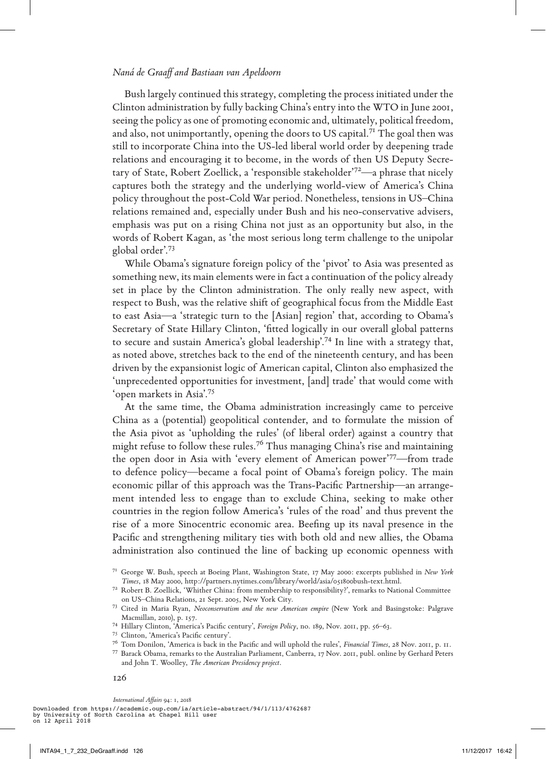#### *Naná de Graa! and Bastiaan van Apeldoorn*

Bush largely continued this strategy, completing the process initiated under the Clinton administration by fully backing China's entry into the WTO in June 2001, seeing the policy as one of promoting economic and, ultimately, political freedom, and also, not unimportantly, opening the doors to US capital.<sup>71</sup> The goal then was still to incorporate China into the US-led liberal world order by deepening trade relations and encouraging it to become, in the words of then US Deputy Secretary of State, Robert Zoellick, a 'responsible stakeholder'72—a phrase that nicely captures both the strategy and the underlying world-view of America's China policy throughout the post-Cold War period. Nonetheless, tensions in US–China relations remained and, especially under Bush and his neo-conservative advisers, emphasis was put on a rising China not just as an opportunity but also, in the words of Robert Kagan, as 'the most serious long term challenge to the unipolar global order'.<sup>73</sup>

While Obama's signature foreign policy of the 'pivot' to Asia was presented as something new, its main elements were in fact a continuation of the policy already set in place by the Clinton administration. The only really new aspect, with respect to Bush, was the relative shift of geographical focus from the Middle East to east Asia—a 'strategic turn to the [Asian] region' that, according to Obama's Secretary of State Hillary Clinton, 'fitted logically in our overall global patterns to secure and sustain America's global leadership'.74 In line with a strategy that, as noted above, stretches back to the end of the nineteenth century, and has been driven by the expansionist logic of American capital, Clinton also emphasized the 'unprecedented opportunities for investment, [and] trade' that would come with 'open markets in Asia'.<sup>75</sup>

At the same time, the Obama administration increasingly came to perceive China as a (potential) geopolitical contender, and to formulate the mission of the Asia pivot as 'upholding the rules' (of liberal order) against a country that might refuse to follow these rules.<sup>76</sup> Thus managing China's rise and maintaining the open door in Asia with 'every element of American power'77—from trade to defence policy—became a focal point of Obama's foreign policy. The main economic pillar of this approach was the Trans-Pacific Partnership—an arrangement intended less to engage than to exclude China, seeking to make other countries in the region follow America's 'rules of the road' and thus prevent the rise of a more Sinocentric economic area. Beefing up its naval presence in the Pacific and strengthening military ties with both old and new allies, the Obama administration also continued the line of backing up economic openness with

<sup>71</sup> George W. Bush, speech at Boeing Plant, Washington State, 17 May 2000: excerpts published in *New York* 

*Times*, 18 May 2000, http://partners.nytimes.com/library/world/asia/051800bush-text.html.<br><sup>72</sup> Robert B. Zoellick, 'Whither China: from membership to responsibility?', remarks to National Committee

on US–China Relations, 21 Sept. 2005, New York City. <sup>73</sup> Cited in Maria Ryan, *Neoconservatism and the new American empire* (New York and Basingstoke: Palgrave

<sup>&</sup>lt;sup>74</sup> Hillary Clinton, 'America's Pacific century', *Foreign Policy*, no. 189, Nov. 2011, pp. 56–63.<br><sup>75</sup> Clinton, 'America's Pacific century'.<br><sup>76</sup> Tom Donilon, 'America is back in the Pacific and will uphold the rules', and John T. Woolley, *The American Presidency project*.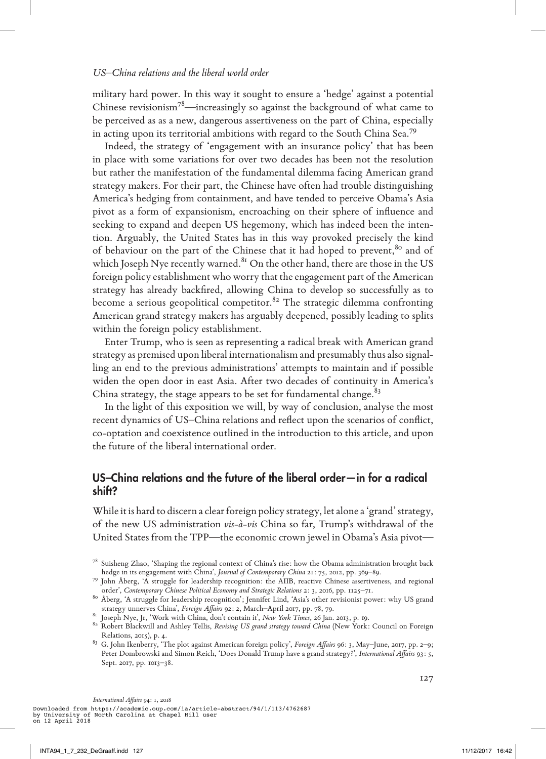military hard power. In this way it sought to ensure a 'hedge' against a potential Chinese revisionism<sup>78</sup>—increasingly so against the background of what came to be perceived as as a new, dangerous assertiveness on the part of China, especially in acting upon its territorial ambitions with regard to the South China Sea.<sup>79</sup>

Indeed, the strategy of 'engagement with an insurance policy' that has been in place with some variations for over two decades has been not the resolution but rather the manifestation of the fundamental dilemma facing American grand strategy makers. For their part, the Chinese have often had trouble distinguishing America's hedging from containment, and have tended to perceive Obama's Asia pivot as a form of expansionism, encroaching on their sphere of influence and seeking to expand and deepen US hegemony, which has indeed been the intention. Arguably, the United States has in this way provoked precisely the kind of behaviour on the part of the Chinese that it had hoped to prevent,<sup>80</sup> and of which Joseph Nye recently warned.<sup>81</sup> On the other hand, there are those in the US foreign policy establishment who worry that the engagement part of the American strategy has already backfired, allowing China to develop so successfully as to become a serious geopolitical competitor.<sup>82</sup> The strategic dilemma confronting American grand strategy makers has arguably deepened, possibly leading to splits within the foreign policy establishment.

Enter Trump, who is seen as representing a radical break with American grand strategy as premised upon liberal internationalism and presumably thus also signalling an end to the previous administrations' attempts to maintain and if possible widen the open door in east Asia. After two decades of continuity in America's China strategy, the stage appears to be set for fundamental change.  $83$ 

In the light of this exposition we will, by way of conclusion, analyse the most recent dynamics of US–China relations and reflect upon the scenarios of conflict, co-optation and coexistence outlined in the introduction to this article, and upon the future of the liberal international order.

## US–China relations and the future of the liberal order—in for a radical shift?

While it is hard to discern a clear foreign policy strategy, let alone a 'grand' strategy, of the new US administration *vis-à-vis* China so far, Trump's withdrawal of the United States from the TPP—the economic crown jewel in Obama's Asia pivot—

<sup>&</sup>lt;sup>78</sup> Suisheng Zhao, 'Shaping the regional context of China's rise: how the Obama administration brought back

hedge in its engagement with China', *Journal of Contemporary China* 21: 75, 2012, pp. 369–89. <sup>79</sup> John Åberg, 'A struggle for leadership recognition: the AIIB, reactive Chinese assertiveness, and regional

order', *Contemporary Chinese Political Economy and Strategic Relations* 2: 3, 2016, pp. 1125–71.<br><sup>80</sup> Åberg, 'A struggle for leadership recognition'; Jennifer Lind, 'Asia's other revisionist power: why US grand<br>strategy u

<sup>81</sup> Joseph Nye, Jr, 'Work with China, don't contain it', *New York Times*, 26 Jan. 2013, p. 19.<br><sup>81</sup> Joseph Nye, Jr, 'Work with China, don't contain it', *New York Times*, 26 Jan. 2013, p. 19.<br><sup>82</sup> Robert Blackwill and Ashl Relations, 2015), p. 4. <sup>83</sup> G. John Ikenberry, 'The plot against American foreign policy', *Foreign A!airs* <sup>96</sup>: 3, May–June, 2017, pp. 2–9;

Peter Dombrowski and Simon Reich, 'Does Donald Trump have a grand strategy?', *International A!airs* 93: 5, Sept. 2017, pp. 1013-38.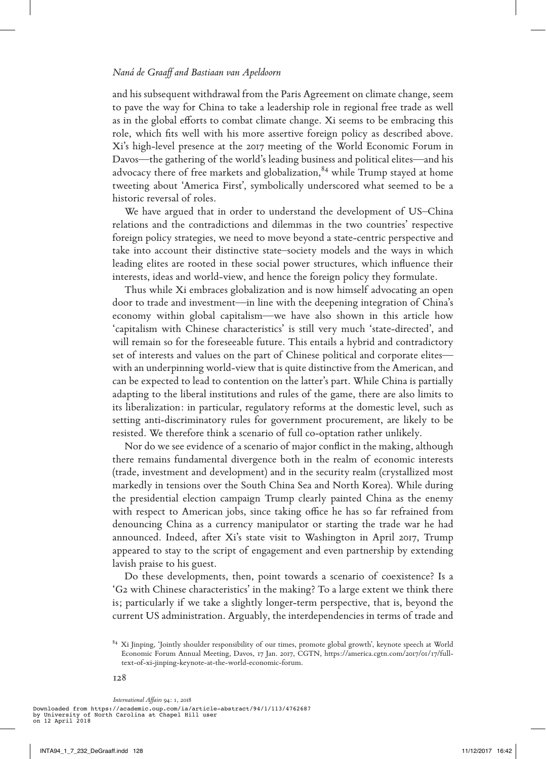#### *Naná de Graa! and Bastiaan van Apeldoorn*

and his subsequent withdrawal from the Paris Agreement on climate change, seem to pave the way for China to take a leadership role in regional free trade as well as in the global efforts to combat climate change. Xi seems to be embracing this role, which fits well with his more assertive foreign policy as described above. Xi's high-level presence at the 2017 meeting of the World Economic Forum in Davos—the gathering of the world's leading business and political elites—and his advocacy there of free markets and globalization,  $84$  while Trump stayed at home tweeting about 'America First', symbolically underscored what seemed to be a historic reversal of roles.

We have argued that in order to understand the development of US–China relations and the contradictions and dilemmas in the two countries' respective foreign policy strategies, we need to move beyond a state-centric perspective and take into account their distinctive state–society models and the ways in which leading elites are rooted in these social power structures, which influence their interests, ideas and world-view, and hence the foreign policy they formulate.

Thus while Xi embraces globalization and is now himself advocating an open door to trade and investment—in line with the deepening integration of China's economy within global capitalism—we have also shown in this article how 'capitalism with Chinese characteristics' is still very much 'state-directed', and will remain so for the foreseeable future. This entails a hybrid and contradictory set of interests and values on the part of Chinese political and corporate elites with an underpinning world-view that is quite distinctive from the American, and can be expected to lead to contention on the latter's part. While China is partially adapting to the liberal institutions and rules of the game, there are also limits to its liberalization: in particular, regulatory reforms at the domestic level, such as setting anti-discriminatory rules for government procurement, are likely to be resisted. We therefore think a scenario of full co-optation rather unlikely.

Nor do we see evidence of a scenario of major conflict in the making, although there remains fundamental divergence both in the realm of economic interests (trade, investment and development) and in the security realm (crystallized most markedly in tensions over the South China Sea and North Korea). While during the presidential election campaign Trump clearly painted China as the enemy with respect to American jobs, since taking office he has so far refrained from denouncing China as a currency manipulator or starting the trade war he had announced. Indeed, after Xi's state visit to Washington in April 2017, Trump appeared to stay to the script of engagement and even partnership by extending lavish praise to his guest.

Do these developments, then, point towards a scenario of coexistence? Is a 'G2 with Chinese characteristics' in the making? To a large extent we think there is; particularly if we take a slightly longer-term perspective, that is, beyond the current US administration. Arguably, the interdependencies in terms of trade and

Downloaded from https://academic.oup.com/ia/article-abstract/94/1/113/4762687 by University of North Carolina at Chapel Hill user on 12 April 2018

<sup>84</sup> Xi Jinping, 'Jointly shoulder responsibility of our times, promote global growth', keynote speech at World Economic Forum Annual Meeting, Davos, 17 Jan. 2017, CGTN, https://america.cgtn.com/2017/01/17/fulltext-of-xi-jinping-keynote-at-the-world-economic-forum.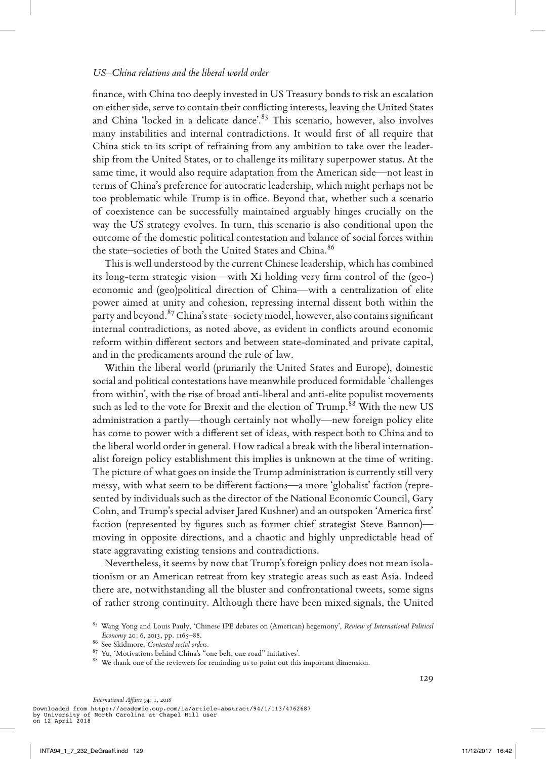finance, with China too deeply invested in US Treasury bonds to risk an escalation on either side, serve to contain their conflicting interests, leaving the United States and China 'locked in a delicate dance'.<sup>85</sup> This scenario, however, also involves many instabilities and internal contradictions. It would first of all require that China stick to its script of refraining from any ambition to take over the leadership from the United States, or to challenge its military superpower status. At the same time, it would also require adaptation from the American side—not least in terms of China's preference for autocratic leadership, which might perhaps not be too problematic while Trump is in office. Beyond that, whether such a scenario of coexistence can be successfully maintained arguably hinges crucially on the way the US strategy evolves. In turn, this scenario is also conditional upon the outcome of the domestic political contestation and balance of social forces within the state–societies of both the United States and China.<sup>86</sup>

This is well understood by the current Chinese leadership, which has combined its long-term strategic vision—with Xi holding very firm control of the (geo-) economic and (geo)political direction of China—with a centralization of elite power aimed at unity and cohesion, repressing internal dissent both within the party and beyond.<sup>87</sup> China's state–society model, however, also contains significant internal contradictions, as noted above, as evident in conflicts around economic reform within different sectors and between state-dominated and private capital, and in the predicaments around the rule of law.

Within the liberal world (primarily the United States and Europe), domestic social and political contestations have meanwhile produced formidable 'challenges from within', with the rise of broad anti-liberal and anti-elite populist movements such as led to the vote for Brexit and the election of  $\text{Trump.}^{\bar{8}8}$  With the new US administration a partly—though certainly not wholly—new foreign policy elite has come to power with a different set of ideas, with respect both to China and to the liberal world order in general. How radical a break with the liberal internationalist foreign policy establishment this implies is unknown at the time of writing. The picture of what goes on inside the Trump administration is currently still very messy, with what seem to be different factions—a more 'globalist' faction (represented by individuals such as the director of the National Economic Council, Gary Cohn, and Trump's special adviser Jared Kushner) and an outspoken 'America first' faction (represented by figures such as former chief strategist Steve Bannon) moving in opposite directions, and a chaotic and highly unpredictable head of state aggravating existing tensions and contradictions.

Nevertheless, it seems by now that Trump's foreign policy does not mean isolationism or an American retreat from key strategic areas such as east Asia. Indeed there are, notwithstanding all the bluster and confrontational tweets, some signs of rather strong continuity. Although there have been mixed signals, the United

<sup>85</sup> Wang Yong and Louis Pauly, 'Chinese IPE debates on (American) hegemony', *Review of International Political Economy 20: 6, 2013, pp. 1165–88.*<br>  $^{86}$  See Skidmore, *Contested social orders.*<br>  $^{87}$  Yu, 'Motivations behind China's "one belt, one road" initiatives'.<br>  $^{87}$  Yu, 'Motivations behind China's "one belt, one road"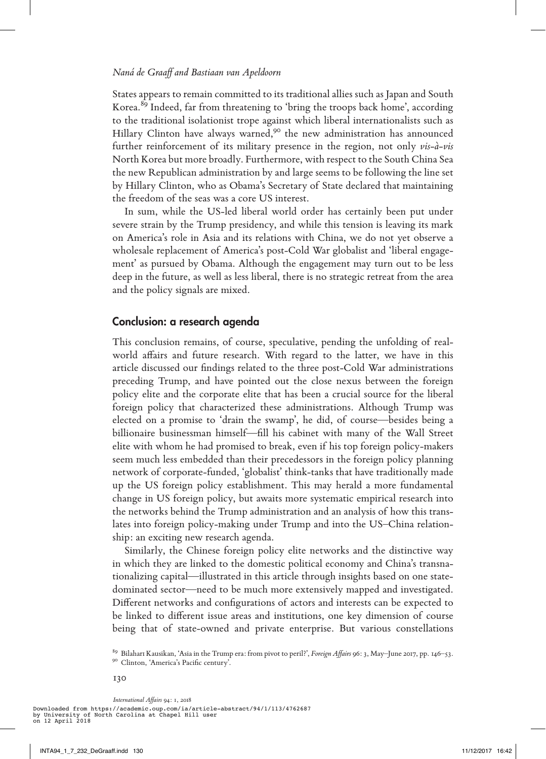States appears to remain committed to its traditional allies such as Japan and South Korea.<sup>89</sup> Indeed, far from threatening to 'bring the troops back home', according to the traditional isolationist trope against which liberal internationalists such as Hillary Clinton have always warned,<sup>90</sup> the new administration has announced further reinforcement of its military presence in the region, not only *vis-à-vis* North Korea but more broadly. Furthermore, with respect to the South China Sea the new Republican administration by and large seems to be following the line set by Hillary Clinton, who as Obama's Secretary of State declared that maintaining the freedom of the seas was a core US interest.

In sum, while the US-led liberal world order has certainly been put under severe strain by the Trump presidency, and while this tension is leaving its mark on America's role in Asia and its relations with China, we do not yet observe a wholesale replacement of America's post-Cold War globalist and 'liberal engagement' as pursued by Obama. Although the engagement may turn out to be less deep in the future, as well as less liberal, there is no strategic retreat from the area and the policy signals are mixed.

## Conclusion: a research agenda

This conclusion remains, of course, speculative, pending the unfolding of realworld affairs and future research. With regard to the latter, we have in this article discussed our findings related to the three post-Cold War administrations preceding Trump, and have pointed out the close nexus between the foreign policy elite and the corporate elite that has been a crucial source for the liberal foreign policy that characterized these administrations. Although Trump was elected on a promise to 'drain the swamp', he did, of course—besides being a billionaire businessman himself—fill his cabinet with many of the Wall Street elite with whom he had promised to break, even if his top foreign policy-makers seem much less embedded than their precedessors in the foreign policy planning network of corporate-funded, 'globalist' think-tanks that have traditionally made up the US foreign policy establishment. This may herald a more fundamental change in US foreign policy, but awaits more systematic empirical research into the networks behind the Trump administration and an analysis of how this translates into foreign policy-making under Trump and into the US–China relationship: an exciting new research agenda.

Similarly, the Chinese foreign policy elite networks and the distinctive way in which they are linked to the domestic political economy and China's transnationalizing capital—illustrated in this article through insights based on one statedominated sector—need to be much more extensively mapped and investigated. Different networks and configurations of actors and interests can be expected to be linked to different issue areas and institutions, one key dimension of course being that of state-owned and private enterprise. But various constellations

<sup>89</sup> Bilahari Kausikan, 'Asia in the Trump era: from pivot to peril?', *Foreign A!airs* <sup>96</sup>: 3, May–June 2017, pp. 146–53. <sup>90</sup> Clinton, 'America's Pacific century'.